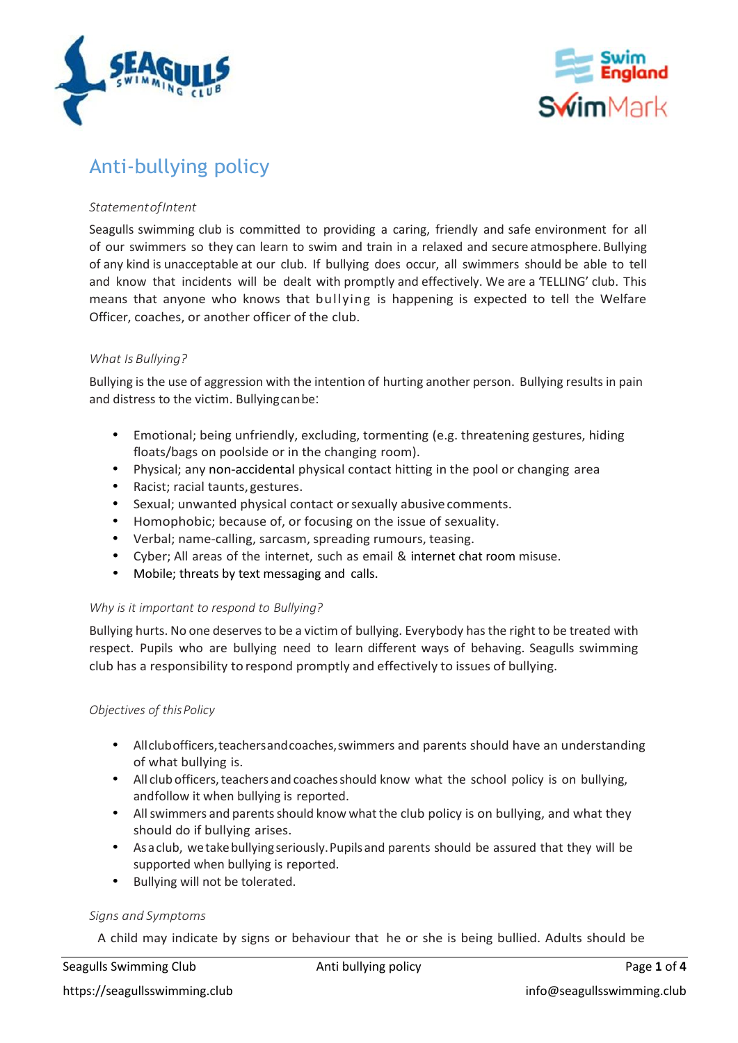



# Anti-bullying policy

### *StatementofIntent*

Seagulls swimming club is committed to providing a caring, friendly and safe environment for all of our swimmers so they can learn to swim and train in a relaxed and secure atmosphere. Bullying of any kind is unacceptable at our club. If bullying does occur, all swimmers should be able to tell and know that incidents will be dealt with promptly and effectively. We are a TELLING' club. This means that anyone who knows that bullying is happening is expected to tell the Welfare Officer, coaches, or another officer of the club.

## *What Is Bullying?*

Bullying is the use of aggression with the intention of hurting another person. Bullying results in pain and distress to the victim. Bullyingcanbe:

- Emotional; being unfriendly, excluding, tormenting (e.g. threatening gestures, hiding floats/bags on poolside or in the changing room).
- Physical; any non-accidental physical contact hitting in the pool or changing area
- Racist; racial taunts, gestures.
- Sexual; unwanted physical contact orsexually abusive comments.
- Homophobic; because of, or focusing on the issue of sexuality.
- Verbal; name-calling, sarcasm, spreading rumours, teasing.
- Cyber; All areas of the internet, such as email & internet chat room misuse.
- Mobile; threats by text messaging and calls.

#### *Why is it important to respond to Bullying?*

Bullying hurts. No one deservesto be a victim of bullying. Everybody hasthe right to be treated with respect. Pupils who are bullying need to learn different ways of behaving. Seagulls swimming club has a responsibility to respond promptly and effectively to issues of bullying.

#### *Objectives of thisPolicy*

- Allclubofficers,teachersandcoaches,swimmers and parents should have an understanding of what bullying is.
- All clubofficers,teachers and coachesshould know what the school policy is on bullying, andfollow it when bullying is reported.
- Allswimmers and parentsshould know whatthe club policy is on bullying, and what they should do if bullying arises.
- Asaclub, wetakebullyingseriously.Pupilsand parents should be assured that they will be supported when bullying is reported.
- Bullying will not be tolerated.

#### *Signs and Symptoms*

A child may indicate by signs or behaviour that he or she is being bullied. Adults should be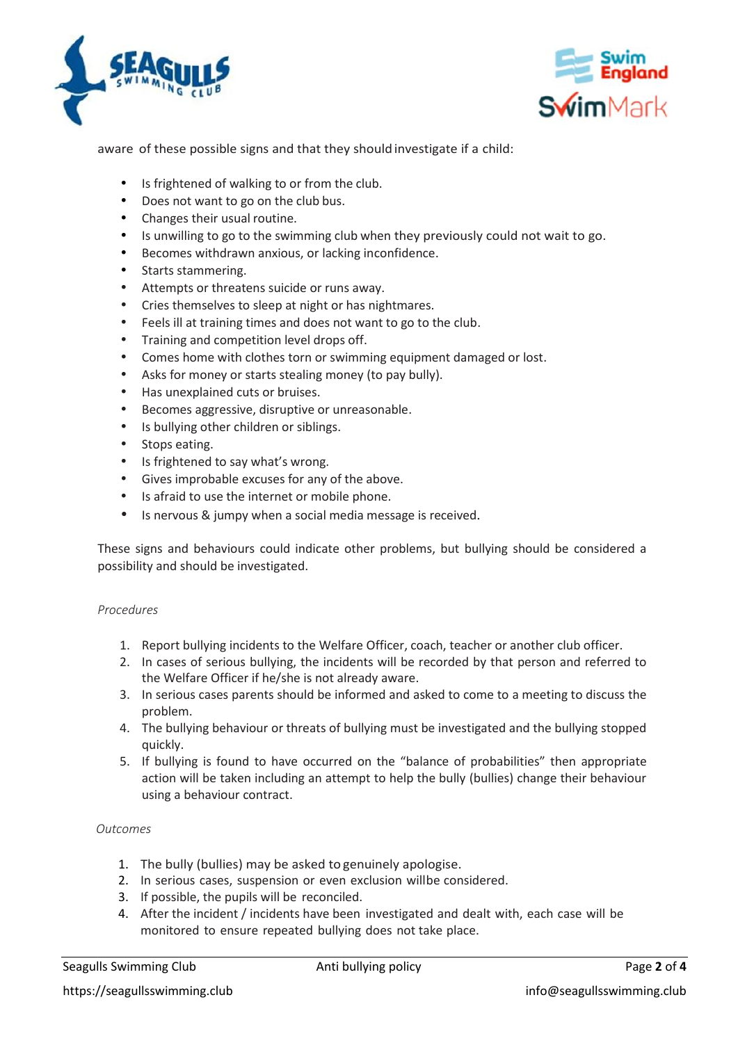



aware of these possible signs and that they shouldinvestigate if a child:

- Is frightened of walking to or from the club.
- Does not want to go on the club bus.
- Changes their usual routine.
- Is unwilling to go to the swimming club when they previously could not wait to go.
- Becomes withdrawn anxious, or lacking inconfidence.
- Starts stammering.
- Attempts or threatens suicide or runs away.
- Cries themselves to sleep at night or has nightmares.
- Feels ill at training times and does not want to go to the club.
- Training and competition level drops off.
- Comes home with clothes torn or swimming equipment damaged or lost.
- Asks for money or starts stealing money (to pay bully).
- Has unexplained cuts or bruises.
- Becomes aggressive, disruptive or unreasonable.
- Is bullying other children or siblings.
- Stops eating.
- Is frightened to say what's wrong.
- Gives improbable excuses for any of the above.
- Is afraid to use the internet or mobile phone.
- Is nervous & jumpy when a social media message is received.

These signs and behaviours could indicate other problems, but bullying should be considered a possibility and should be investigated.

#### *Procedures*

- 1. Report bullying incidents to the Welfare Officer, coach, teacher or another club officer.
- 2. In cases of serious bullying, the incidents will be recorded by that person and referred to the Welfare Officer if he/she is not already aware.
- 3. In serious cases parents should be informed and asked to come to a meeting to discuss the problem.
- 4. The bullying behaviour or threats of bullying must be investigated and the bullying stopped quickly.
- 5. If bullying is found to have occurred on the "balance of probabilities" then appropriate action will be taken including an attempt to help the bully (bullies) change their behaviour using a behaviour contract.

#### *Outcomes*

- 1. The bully (bullies) may be asked to genuinely apologise.
- 2. In serious cases, suspension or even exclusion willbe considered.
- 3. If possible, the pupils will be reconciled.
- 4. After the incident / incidents have been investigated and dealt with, each case will be monitored to ensure repeated bullying does not take place.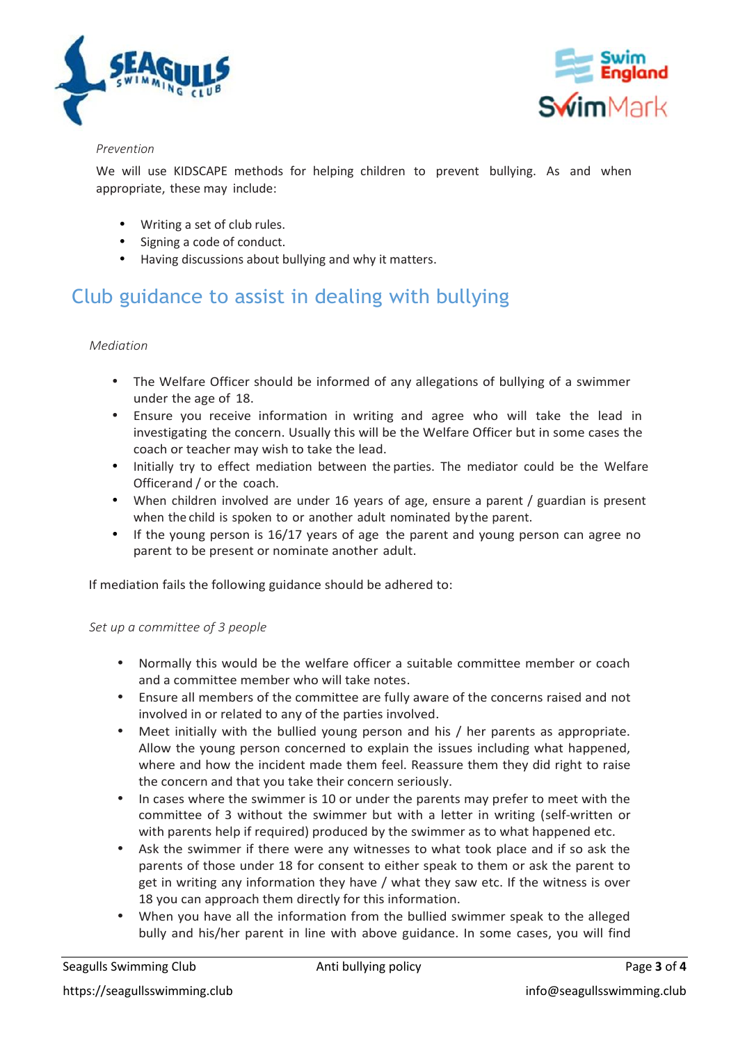



#### *Prevention*

We will use KIDSCAPE methods for helping children to prevent bullying. As and when appropriate, these may include:

- Writing a set of club rules.
- Signing a code of conduct.
- Having discussions about bullying and why it matters.

# Club guidance to assist in dealing with bullying

### *Mediation*

- The Welfare Officer should be informed of any allegations of bullying of a swimmer under the age of 18.
- Ensure you receive information in writing and agree who will take the lead in investigating the concern. Usually this will be the Welfare Officer but in some cases the coach or teacher may wish to take the lead.
- Initially try to effect mediation between the parties. The mediator could be the Welfare Officerand / or the coach.
- When children involved are under 16 years of age, ensure a parent / guardian is present when the child is spoken to or another adult nominated by the parent.
- If the young person is 16/17 years of age the parent and young person can agree no parent to be present or nominate another adult.

If mediation fails the following guidance should be adhered to:

#### *Set up a committee of 3 people*

- Normally this would be the welfare officer a suitable committee member or coach and a committee member who will take notes.
- Ensure all members of the committee are fully aware of the concerns raised and not involved in or related to any of the parties involved.
- Meet initially with the bullied young person and his / her parents as appropriate. Allow the young person concerned to explain the issues including what happened, where and how the incident made them feel. Reassure them they did right to raise the concern and that you take their concern seriously.
- In cases where the swimmer is 10 or under the parents may prefer to meet with the committee of 3 without the swimmer but with a letter in writing (self-written or with parents help if required) produced by the swimmer as to what happened etc.
- Ask the swimmer if there were any witnesses to what took place and if so ask the parents of those under 18 for consent to either speak to them or ask the parent to get in writing any information they have / what they saw etc. If the witness is over 18 you can approach them directly for this information.
- When you have all the information from the bullied swimmer speak to the alleged bully and his/her parent in line with above guidance. In some cases, you will find